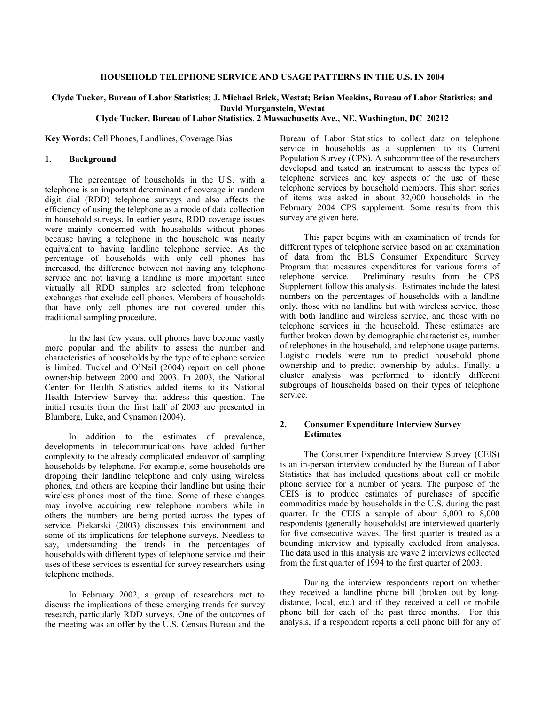# **Clyde Tucker, Bureau of Labor Statistics; J. Michael Brick, Westat; Brian Meekins, Bureau of Labor Statistics; and David Morganstein, Westat**

# **Clyde Tucker, Bureau of Labor Statistics**, **2 Massachusetts Ave., NE, Washington, DC 20212**

**Key Words:** Cell Phones, Landlines, Coverage Bias

### **1. Background**

The percentage of households in the U.S. with a telephone is an important determinant of coverage in random digit dial (RDD) telephone surveys and also affects the efficiency of using the telephone as a mode of data collection in household surveys. In earlier years, RDD coverage issues were mainly concerned with households without phones because having a telephone in the household was nearly equivalent to having landline telephone service. As the percentage of households with only cell phones has increased, the difference between not having any telephone service and not having a landline is more important since virtually all RDD samples are selected from telephone exchanges that exclude cell phones. Members of households that have only cell phones are not covered under this traditional sampling procedure.

In the last few years, cell phones have become vastly more popular and the ability to assess the number and characteristics of households by the type of telephone service is limited. Tuckel and O'Neil (2004) report on cell phone ownership between 2000 and 2003. In 2003, the National Center for Health Statistics added items to its National Health Interview Survey that address this question. The initial results from the first half of 2003 are presented in Blumberg, Luke, and Cynamon (2004).

In addition to the estimates of prevalence, developments in telecommunications have added further complexity to the already complicated endeavor of sampling households by telephone. For example, some households are dropping their landline telephone and only using wireless phones, and others are keeping their landline but using their wireless phones most of the time. Some of these changes may involve acquiring new telephone numbers while in others the numbers are being ported across the types of service. Piekarski (2003) discusses this environment and some of its implications for telephone surveys. Needless to say, understanding the trends in the percentages of households with different types of telephone service and their uses of these services is essential for survey researchers using telephone methods.

In February 2002, a group of researchers met to discuss the implications of these emerging trends for survey research, particularly RDD surveys. One of the outcomes of the meeting was an offer by the U.S. Census Bureau and the

Bureau of Labor Statistics to collect data on telephone service in households as a supplement to its Current Population Survey (CPS). A subcommittee of the researchers developed and tested an instrument to assess the types of telephone services and key aspects of the use of these telephone services by household members. This short series of items was asked in about 32,000 households in the February 2004 CPS supplement. Some results from this survey are given here.

This paper begins with an examination of trends for different types of telephone service based on an examination of data from the BLS Consumer Expenditure Survey Program that measures expenditures for various forms of telephone service. Preliminary results from the CPS Supplement follow this analysis. Estimates include the latest numbers on the percentages of households with a landline only, those with no landline but with wireless service, those with both landline and wireless service, and those with no telephone services in the household. These estimates are further broken down by demographic characteristics, number of telephones in the household, and telephone usage patterns. Logistic models were run to predict household phone ownership and to predict ownership by adults. Finally, a cluster analysis was performed to identify different subgroups of households based on their types of telephone service.

## **2. Consumer Expenditure Interview Survey Estimates**

The Consumer Expenditure Interview Survey (CEIS) is an in-person interview conducted by the Bureau of Labor Statistics that has included questions about cell or mobile phone service for a number of years. The purpose of the CEIS is to produce estimates of purchases of specific commodities made by households in the U.S. during the past quarter. In the CEIS a sample of about 5,000 to 8,000 respondents (generally households) are interviewed quarterly for five consecutive waves. The first quarter is treated as a bounding interview and typically excluded from analyses. The data used in this analysis are wave 2 interviews collected from the first quarter of 1994 to the first quarter of 2003.

During the interview respondents report on whether they received a landline phone bill (broken out by longdistance, local, etc.) and if they received a cell or mobile phone bill for each of the past three months. For this analysis, if a respondent reports a cell phone bill for any of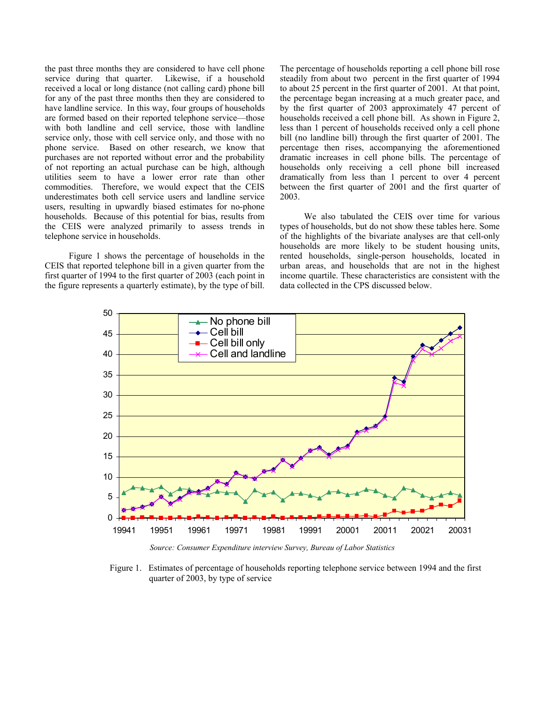the past three months they are considered to have cell phone service during that quarter. Likewise, if a household received a local or long distance (not calling card) phone bill for any of the past three months then they are considered to have landline service. In this way, four groups of households are formed based on their reported telephone service—those with both landline and cell service, those with landline service only, those with cell service only, and those with no phone service. Based on other research, we know that purchases are not reported without error and the probability of not reporting an actual purchase can be high, although utilities seem to have a lower error rate than other commodities. Therefore, we would expect that the CEIS underestimates both cell service users and landline service users, resulting in upwardly biased estimates for no-phone households. Because of this potential for bias, results from the CEIS were analyzed primarily to assess trends in telephone service in households.

Figure 1 shows the percentage of households in the CEIS that reported telephone bill in a given quarter from the first quarter of 1994 to the first quarter of 2003 (each point in the figure represents a quarterly estimate), by the type of bill.

The percentage of households reporting a cell phone bill rose steadily from about two percent in the first quarter of 1994 to about 25 percent in the first quarter of 2001. At that point, the percentage began increasing at a much greater pace, and by the first quarter of 2003 approximately 47 percent of households received a cell phone bill. As shown in Figure 2, less than 1 percent of households received only a cell phone bill (no landline bill) through the first quarter of 2001. The percentage then rises, accompanying the aforementioned dramatic increases in cell phone bills. The percentage of households only receiving a cell phone bill increased dramatically from less than 1 percent to over 4 percent between the first quarter of 2001 and the first quarter of 2003.

We also tabulated the CEIS over time for various types of households, but do not show these tables here. Some of the highlights of the bivariate analyses are that cell-only households are more likely to be student housing units, rented households, single-person households, located in urban areas, and households that are not in the highest income quartile. These characteristics are consistent with the data collected in the CPS discussed below.



*Source: Consumer Expenditure interview Survey, Bureau of Labor Statistics* 

Figure 1. Estimates of percentage of households reporting telephone service between 1994 and the first quarter of 2003, by type of service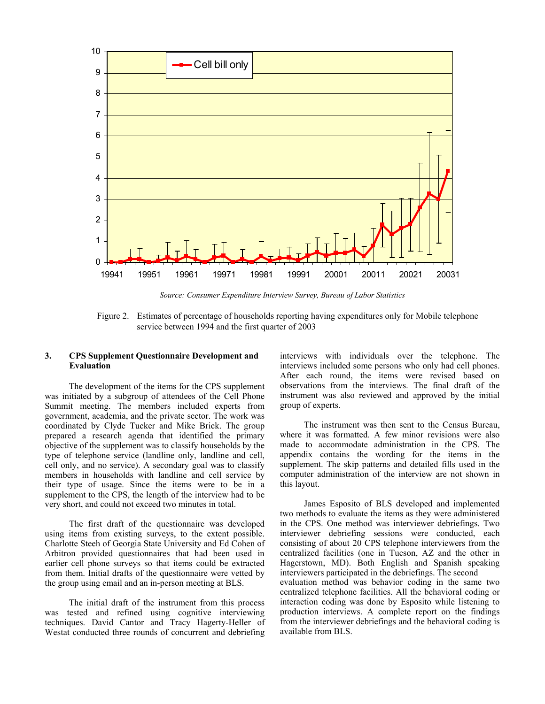

*Source: Consumer Expenditure Interview Survey, Bureau of Labor Statistics* 

Figure 2. Estimates of percentage of households reporting having expenditures only for Mobile telephone service between 1994 and the first quarter of 2003

## **3. CPS Supplement Questionnaire Development and Evaluation**

The development of the items for the CPS supplement was initiated by a subgroup of attendees of the Cell Phone Summit meeting. The members included experts from government, academia, and the private sector. The work was coordinated by Clyde Tucker and Mike Brick. The group prepared a research agenda that identified the primary objective of the supplement was to classify households by the type of telephone service (landline only, landline and cell, cell only, and no service). A secondary goal was to classify members in households with landline and cell service by their type of usage. Since the items were to be in a supplement to the CPS, the length of the interview had to be very short, and could not exceed two minutes in total.

The first draft of the questionnaire was developed using items from existing surveys, to the extent possible. Charlotte Steeh of Georgia State University and Ed Cohen of Arbitron provided questionnaires that had been used in earlier cell phone surveys so that items could be extracted from them. Initial drafts of the questionnaire were vetted by the group using email and an in-person meeting at BLS.

The initial draft of the instrument from this process was tested and refined using cognitive interviewing techniques. David Cantor and Tracy Hagerty-Heller of Westat conducted three rounds of concurrent and debriefing interviews with individuals over the telephone. The interviews included some persons who only had cell phones. After each round, the items were revised based on observations from the interviews. The final draft of the instrument was also reviewed and approved by the initial group of experts.

The instrument was then sent to the Census Bureau, where it was formatted. A few minor revisions were also made to accommodate administration in the CPS. The appendix contains the wording for the items in the supplement. The skip patterns and detailed fills used in the computer administration of the interview are not shown in this layout.

James Esposito of BLS developed and implemented two methods to evaluate the items as they were administered in the CPS. One method was interviewer debriefings. Two interviewer debriefing sessions were conducted, each consisting of about 20 CPS telephone interviewers from the centralized facilities (one in Tucson, AZ and the other in Hagerstown, MD). Both English and Spanish speaking interviewers participated in the debriefings. The second evaluation method was behavior coding in the same two centralized telephone facilities. All the behavioral coding or interaction coding was done by Esposito while listening to production interviews. A complete report on the findings from the interviewer debriefings and the behavioral coding is available from BLS.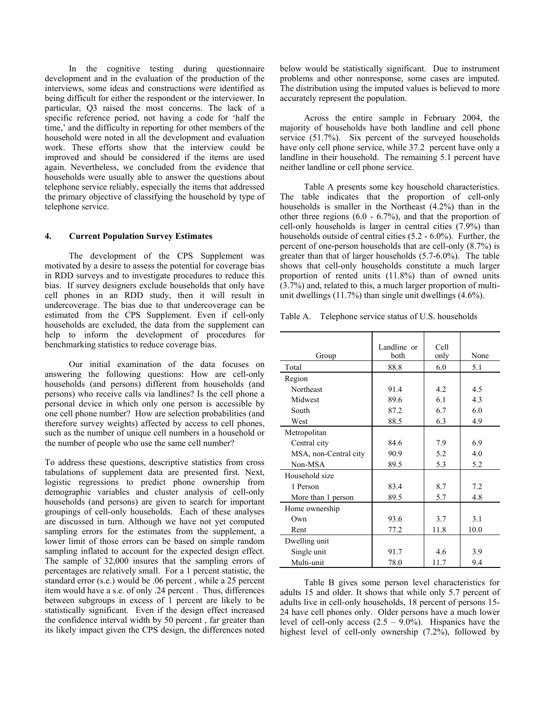In the cognitive testing during questionnaire development and in the evaluation of the production of the interviews, some ideas and constructions were identified as being difficult for either the respondent or the interviewer. In particular, Q3 raised the most concerns. The lack of a specific reference period, not having a code for 'half the time,' and the difficulty in reporting for other members of the household were noted in all the development and evaluation work. These efforts show that the interview could be improved and should be considered if the items are used again. Nevertheless, we concluded from the evidence that households were usually able to answer the questions about telephone service reliably, especially the items that addressed the primary objective of classifying the household by type of telephone service.

## **4. Current Population Survey Estimates**

The development of the CPS Supplement was motivated by a desire to assess the potential for coverage bias in RDD surveys and to investigate procedures to reduce this bias. If survey designers exclude households that only have cell phones in an RDD study, then it will result in undercoverage. The bias due to that undercoverage can be estimated from the CPS Supplement. Even if cell-only households are excluded, the data from the supplement can help to inform the development of procedures for benchmarking statistics to reduce coverage bias.

Our initial examination of the data focuses on answering the following questions: How are cell-only households (and persons) different from households (and persons) who receive calls via landlines? Is the cell phone a personal device in which only one person is accessible by one cell phone number? How are selection probabilities (and therefore survey weights) affected by access to cell phones, such as the number of unique cell numbers in a household or the number of people who use the same cell number?

To address these questions, descriptive statistics from cross tabulations of supplement data are presented first. Next, logistic regressions to predict phone ownership from demographic variables and cluster analysis of cell-only households (and persons) are given to search for important groupings of cell-only households. Each of these analyses are discussed in turn. Although we have not yet computed sampling errors for the estimates from the supplement, a lower limit of those errors can be based on simple random sampling inflated to account for the expected design effect. The sample of 32,000 insures that the sampling errors of percentages are relatively small. For a 1 percent statistic, the standard error (s.e.) would be .06 percent , while a 25 percent item would have a s.e. of only .24 percent . Thus, differences between subgroups in excess of 1 percent are likely to be statistically significant. Even if the design effect increased the confidence interval width by 50 percent , far greater than its likely impact given the CPS design, the differences noted

below would be statistically significant. Due to instrument problems and other nonresponse, some cases are imputed. The distribution using the imputed values is believed to more accurately represent the population.

Across the entire sample in February 2004, the majority of households have both landline and cell phone service (51.7%). Six percent of the surveyed households have only cell phone service, while 37.2 percent have only a landline in their household. The remaining 5.1 percent have neither landline or cell phone service.

Table A presents some key household characteristics. The table indicates that the proportion of cell-only households is smaller in the Northeast (4.2%) than in the other three regions (6.0 - 6.7%), and that the proportion of cell-only households is larger in central cities (7.9%) than households outside of central cities (5.2 - 6.0%). Further, the percent of one-person households that are cell-only (8.7%) is greater than that of larger households (5.7-6.0%). The table shows that cell-only households constitute a much larger proportion of rented units (11.8%) than of owned units (3.7%) and, related to this, a much larger proportion of multiunit dwellings (11.7%) than single unit dwellings (4.6%).

Table A. Telephone service status of U.S. households

|                       | Landline or | Cell |      |
|-----------------------|-------------|------|------|
| Group                 | both        | only | None |
| Total                 | 88.8        | 6.0  | 5.1  |
| Region                |             |      |      |
| Northeast             | 91.4        | 4.2  | 4.5  |
| Midwest               | 89.6        | 6.1  | 4.3  |
| South                 | 87.2        | 6.7  | 6.0  |
| West                  | 88.5        | 6.3  | 4.9  |
| Metropolitan          |             |      |      |
| Central city          | 84.6        | 7.9  | 6.9  |
| MSA, non-Central city | 90.9        | 5.2  | 4.0  |
| Non-MSA               | 89.5        | 5.3  | 5.2  |
| Household size        |             |      |      |
| 1 Person              | 83.4        | 8.7  | 7.2  |
| More than 1 person    | 89.5        | 5.7  | 4.8  |
| Home ownership        |             |      |      |
| Own                   | 93.6        | 3.7  | 3.1  |
| Rent                  | 77.2        | 11.8 | 10.0 |
| Dwelling unit         |             |      |      |
| Single unit           | 91.7        | 4.6  | 3.9  |
| Multi-unit            | 78.0        | 11.7 | 9.4  |

Table B gives some person level characteristics for adults 15 and older. It shows that while only 5.7 percent of adults live in cell-only households, 18 percent of persons 15- 24 have cell phones only. Older persons have a much lower level of cell-only access  $(2.5 - 9.0\%)$ . Hispanics have the highest level of cell-only ownership (7.2%), followed by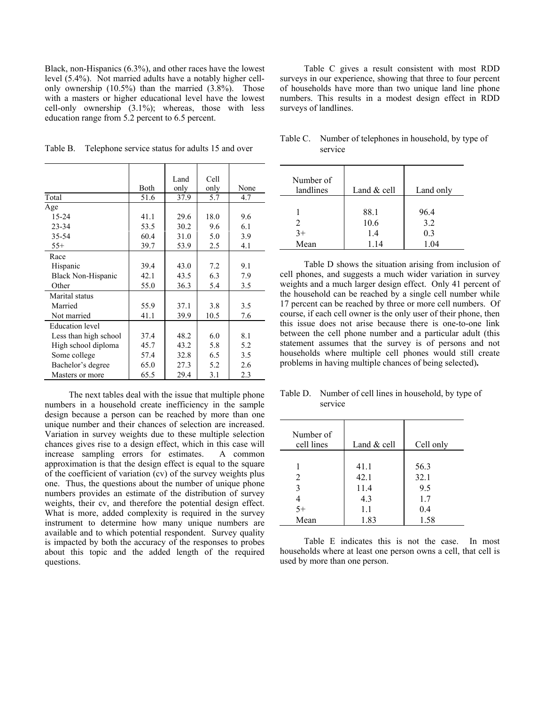Black, non-Hispanics (6.3%), and other races have the lowest level (5.4%). Not married adults have a notably higher cellonly ownership (10.5%) than the married (3.8%). Those with a masters or higher educational level have the lowest cell-only ownership (3.1%); whereas, those with less education range from 5.2 percent to 6.5 percent.

| Table B. | Telephone service status for adults 15 and over |  |
|----------|-------------------------------------------------|--|
|          |                                                 |  |

|                           |      | Land | Cell |      |
|---------------------------|------|------|------|------|
|                           | Both | only | only | None |
| Total                     | 51.6 | 37.9 | 5.7  | 4.7  |
| Age                       |      |      |      |      |
| 15-24                     | 41.1 | 29.6 | 18.0 | 9.6  |
| $23 - 34$                 | 53.5 | 30.2 | 9.6  | 6.1  |
| 35-54                     | 60.4 | 31.0 | 5.0  | 3.9  |
| $55+$                     | 39.7 | 53.9 | 2.5  | 4.1  |
| Race                      |      |      |      |      |
| Hispanic                  | 39.4 | 43.0 | 7.2  | 9.1  |
| <b>Black Non-Hispanic</b> | 42.1 | 43.5 | 6.3  | 7.9  |
| Other                     | 55.0 | 36.3 | 5.4  | 3.5  |
| Marital status            |      |      |      |      |
| Married                   | 55.9 | 37.1 | 3.8  | 3.5  |
| Not married               | 41.1 | 39.9 | 10.5 | 7.6  |
| <b>Education</b> level    |      |      |      |      |
| Less than high school     | 37.4 | 48.2 | 6.0  | 8.1  |
| High school diploma       | 45.7 | 43.2 | 5.8  | 5.2  |
| Some college              | 57.4 | 32.8 | 6.5  | 3.5  |
| Bachelor's degree         | 65.0 | 27.3 | 5.2  | 2.6  |
| Masters or more           | 65.5 | 29.4 | 3.1  | 2.3  |

The next tables deal with the issue that multiple phone numbers in a household create inefficiency in the sample design because a person can be reached by more than one unique number and their chances of selection are increased. Variation in survey weights due to these multiple selection chances gives rise to a design effect, which in this case will increase sampling errors for estimates. A common approximation is that the design effect is equal to the square of the coefficient of variation (cv) of the survey weights plus one. Thus, the questions about the number of unique phone numbers provides an estimate of the distribution of survey weights, their cv, and therefore the potential design effect. What is more, added complexity is required in the survey instrument to determine how many unique numbers are available and to which potential respondent. Survey quality is impacted by both the accuracy of the responses to probes about this topic and the added length of the required questions.

Table C gives a result consistent with most RDD surveys in our experience, showing that three to four percent of households have more than two unique land line phone numbers. This results in a modest design effect in RDD surveys of landlines.

| Number of<br>landlines | Land $&$ cell | Land only |
|------------------------|---------------|-----------|
|                        |               |           |
|                        | 88.1          | 96.4      |
|                        | 10.6          | 3.2       |
| $3+$                   | 1.4           | 0.3       |
| Mean                   | 1.14          | 1.04      |

Table C. Number of telephones in household, by type of service

Table D shows the situation arising from inclusion of cell phones, and suggests a much wider variation in survey weights and a much larger design effect. Only 41 percent of the household can be reached by a single cell number while 17 percent can be reached by three or more cell numbers. Of course, if each cell owner is the only user of their phone, then this issue does not arise because there is one-to-one link between the cell phone number and a particular adult (this statement assumes that the survey is of persons and not households where multiple cell phones would still create problems in having multiple chances of being selected)**.**

| Table D. Number of cell lines in household, by type of |
|--------------------------------------------------------|
| service                                                |

| Number of<br>cell lines | Land $&$ cell | Cell only |
|-------------------------|---------------|-----------|
|                         |               |           |
|                         | 41.1          | 56.3      |
| 2                       | 42.1          | 32.1      |
| 3                       | 11.4          | 9.5       |
|                         | 4.3           | 1.7       |
| $5+$                    | 1.1           | 0.4       |
| Mean                    | 1.83          | 1.58      |

Table E indicates this is not the case. In most households where at least one person owns a cell, that cell is used by more than one person.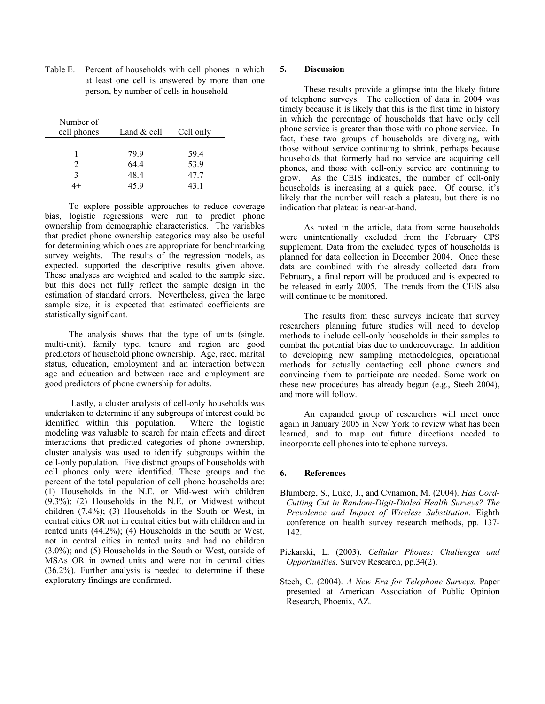| Number of<br>cell phones | Land $&$ cell | Cell only |
|--------------------------|---------------|-----------|
|                          | 79.9          | 59.4      |
|                          | 64.4          | 53.9      |
|                          | 48.4          | 47.7      |
|                          | 45.9          | 43.1      |

Table E. Percent of households with cell phones in which at least one cell is answered by more than one person, by number of cells in household

To explore possible approaches to reduce coverage bias, logistic regressions were run to predict phone ownership from demographic characteristics. The variables that predict phone ownership categories may also be useful for determining which ones are appropriate for benchmarking survey weights. The results of the regression models, as expected, supported the descriptive results given above. These analyses are weighted and scaled to the sample size, but this does not fully reflect the sample design in the estimation of standard errors. Nevertheless, given the large sample size, it is expected that estimated coefficients are statistically significant.

The analysis shows that the type of units (single, multi-unit), family type, tenure and region are good predictors of household phone ownership. Age, race, marital status, education, employment and an interaction between age and education and between race and employment are good predictors of phone ownership for adults.

 Lastly, a cluster analysis of cell-only households was undertaken to determine if any subgroups of interest could be identified within this population. Where the logistic modeling was valuable to search for main effects and direct interactions that predicted categories of phone ownership, cluster analysis was used to identify subgroups within the cell-only population. Five distinct groups of households with cell phones only were identified. These groups and the percent of the total population of cell phone households are: (1) Households in the N.E. or Mid-west with children (9.3%); (2) Households in the N.E. or Midwest without children (7.4%); (3) Households in the South or West, in central cities OR not in central cities but with children and in rented units (44.2%); (4) Households in the South or West, not in central cities in rented units and had no children (3.0%); and (5) Households in the South or West, outside of MSAs OR in owned units and were not in central cities (36.2%). Further analysis is needed to determine if these exploratory findings are confirmed.

## **5. Discussion**

These results provide a glimpse into the likely future of telephone surveys. The collection of data in 2004 was timely because it is likely that this is the first time in history in which the percentage of households that have only cell phone service is greater than those with no phone service. In fact, these two groups of households are diverging, with those without service continuing to shrink, perhaps because households that formerly had no service are acquiring cell phones, and those with cell-only service are continuing to grow. As the CEIS indicates, the number of cell-only households is increasing at a quick pace. Of course, it's likely that the number will reach a plateau, but there is no indication that plateau is near-at-hand.

As noted in the article, data from some households were unintentionally excluded from the February CPS supplement. Data from the excluded types of households is planned for data collection in December 2004. Once these data are combined with the already collected data from February, a final report will be produced and is expected to be released in early 2005. The trends from the CEIS also will continue to be monitored.

The results from these surveys indicate that survey researchers planning future studies will need to develop methods to include cell-only households in their samples to combat the potential bias due to undercoverage. In addition to developing new sampling methodologies, operational methods for actually contacting cell phone owners and convincing them to participate are needed. Some work on these new procedures has already begun (e.g., Steeh 2004), and more will follow.

An expanded group of researchers will meet once again in January 2005 in New York to review what has been learned, and to map out future directions needed to incorporate cell phones into telephone surveys.

## **6. References**

- Blumberg, S., Luke, J., and Cynamon, M. (2004). *Has Cord-Cutting Cut in Random-Digit-Dialed Health Surveys? The Prevalence and Impact of Wireless Substitution.* Eighth conference on health survey research methods, pp. 137- 142.
- Piekarski, L. (2003). *Cellular Phones: Challenges and Opportunities.* Survey Research, pp.34(2).
- Steeh, C. (2004). *A New Era for Telephone Surveys.* Paper presented at American Association of Public Opinion Research, Phoenix, AZ.